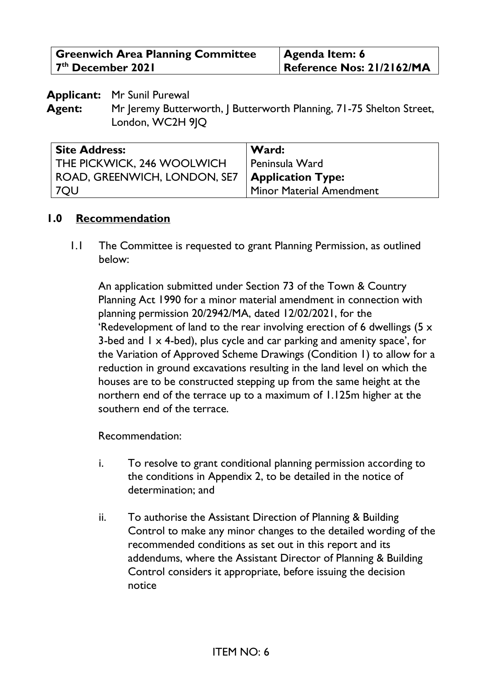| <b>Greenwich Area Planning Committee</b> | <b>Agenda Item: 6</b>     |
|------------------------------------------|---------------------------|
| 7 <sup>th</sup> December 2021            | Reference Nos: 21/2162/MA |

**Applicant:** Mr Sunil Purewal

**Agent:** Mr Jeremy Butterworth, J Butterworth Planning, 71-75 Shelton Street, London, WC2H 9IQ

| <b>Site Address:</b>         | Ward:                    |
|------------------------------|--------------------------|
| THE PICKWICK, 246 WOOLWICH   | Peninsula Ward           |
| ROAD, GREENWICH, LONDON, SE7 | <b>Application Type:</b> |
| 7QU                          | Minor Material Amendment |

#### **1.0 Recommendation**

1.1 The Committee is requested to grant Planning Permission, as outlined below:

An application submitted under Section 73 of the Town & Country Planning Act 1990 for a minor material amendment in connection with planning permission 20/2942/MA, dated 12/02/2021, for the 'Redevelopment of land to the rear involving erection of 6 dwellings (5 x 3-bed and  $1 \times 4$ -bed), plus cycle and car parking and amenity space', for the Variation of Approved Scheme Drawings (Condition 1) to allow for a reduction in ground excavations resulting in the land level on which the houses are to be constructed stepping up from the same height at the northern end of the terrace up to a maximum of 1.125m higher at the southern end of the terrace.

Recommendation:

- i. To resolve to grant conditional planning permission according to the conditions in Appendix 2, to be detailed in the notice of determination; and
- ii. To authorise the Assistant Direction of Planning & Building Control to make any minor changes to the detailed wording of the recommended conditions as set out in this report and its addendums, where the Assistant Director of Planning & Building Control considers it appropriate, before issuing the decision notice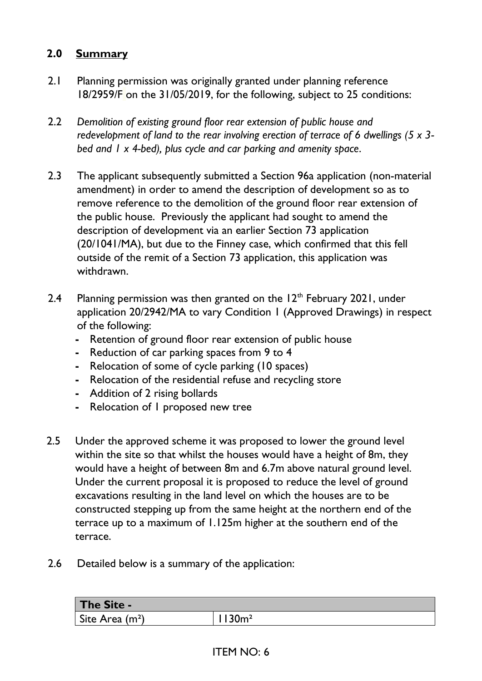## **2.0 Summary**

- 2.1 Planning permission was originally granted under planning reference 18/2959/F on the 31/05/2019, for the following, subject to 25 conditions:
- 2.2 *Demolition of existing ground floor rear extension of public house and redevelopment of land to the rear involving erection of terrace of 6 dwellings (5 x 3 bed and 1 x 4-bed), plus cycle and car parking and amenity space*.
- 2.3 The applicant subsequently submitted a Section 96a application (non-material amendment) in order to amend the description of development so as to remove reference to the demolition of the ground floor rear extension of the public house. Previously the applicant had sought to amend the description of development via an earlier Section 73 application (20/1041/MA), but due to the Finney case, which confirmed that this fell outside of the remit of a Section 73 application, this application was withdrawn.
- 2.4 Planning permission was then granted on the  $12<sup>th</sup>$  February 2021, under application 20/2942/MA to vary Condition 1 (Approved Drawings) in respect of the following:
	- **-** Retention of ground floor rear extension of public house
	- **-** Reduction of car parking spaces from 9 to 4
	- **-** Relocation of some of cycle parking (10 spaces)
	- **-** Relocation of the residential refuse and recycling store
	- **-** Addition of 2 rising bollards
	- **-** Relocation of 1 proposed new tree
- 2.5 Under the approved scheme it was proposed to lower the ground level within the site so that whilst the houses would have a height of 8m, they would have a height of between 8m and 6.7m above natural ground level. Under the current proposal it is proposed to reduce the level of ground excavations resulting in the land level on which the houses are to be constructed stepping up from the same height at the northern end of the terrace up to a maximum of 1.125m higher at the southern end of the terrace.
- 2.6 Detailed below is a summary of the application:

| The Site -       |         |
|------------------|---------|
| Site Area $(m2)$ | $30m^2$ |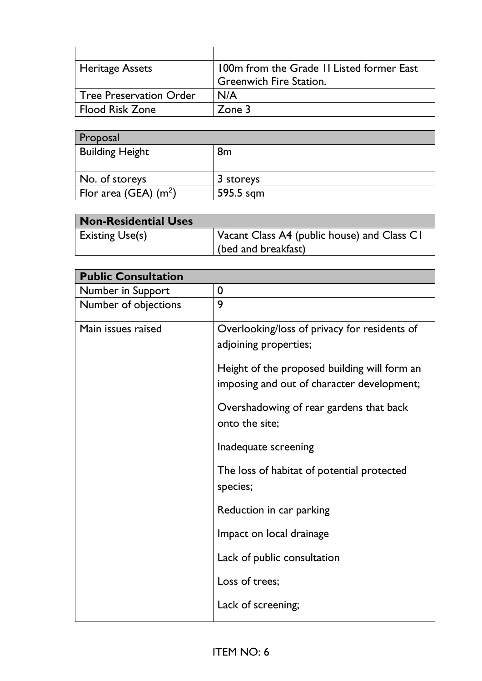| <b>Heritage Assets</b>         | 100m from the Grade 11 Listed former East |
|--------------------------------|-------------------------------------------|
|                                | <b>Greenwich Fire Station.</b>            |
| <b>Tree Preservation Order</b> | N/A                                       |
| <b>Flood Risk Zone</b>         | Zone $3$                                  |

| <b>Proposal</b>                                 |           |
|-------------------------------------------------|-----------|
| <b>Building Height</b>                          | 8m        |
|                                                 |           |
| No. of storeys                                  | 3 storeys |
| $\frac{1}{2}$ Flor area (GEA) (m <sup>2</sup> ) | 595.5 sqm |

| <b>Non-Residential Uses</b> |                                             |
|-----------------------------|---------------------------------------------|
| <b>Existing Use(s)</b>      | Vacant Class A4 (public house) and Class C1 |
|                             | (bed and breakfast)                         |

| <b>Public Consultation</b> |                                                                                            |
|----------------------------|--------------------------------------------------------------------------------------------|
| Number in Support          | 0                                                                                          |
| Number of objections       | 9                                                                                          |
| Main issues raised         | Overlooking/loss of privacy for residents of<br>adjoining properties;                      |
|                            | Height of the proposed building will form an<br>imposing and out of character development; |
|                            | Overshadowing of rear gardens that back<br>onto the site;                                  |
|                            | Inadequate screening                                                                       |
|                            | The loss of habitat of potential protected<br>species;                                     |
|                            | Reduction in car parking                                                                   |
|                            | Impact on local drainage                                                                   |
|                            | Lack of public consultation                                                                |
|                            | Loss of trees;                                                                             |
|                            | Lack of screening;                                                                         |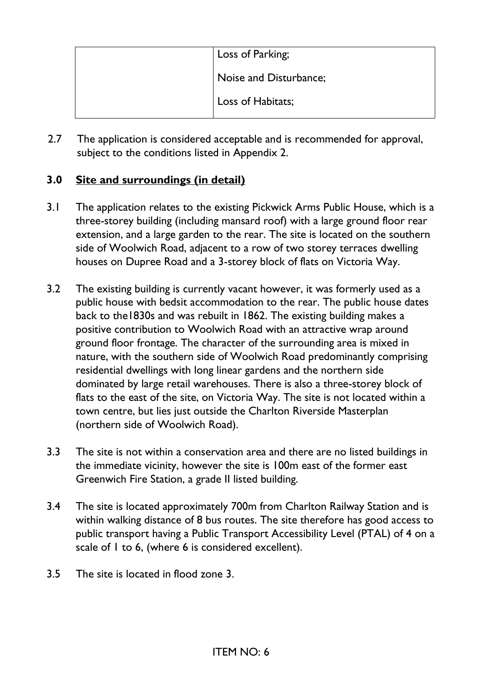| Loss of Parking;       |
|------------------------|
| Noise and Disturbance; |
| Loss of Habitats;      |

2.7 The application is considered acceptable and is recommended for approval, subject to the conditions listed in Appendix 2.

## **3.0 Site and surroundings (in detail)**

- 3.1 The application relates to the existing Pickwick Arms Public House, which is a three-storey building (including mansard roof) with a large ground floor rear extension, and a large garden to the rear. The site is located on the southern side of Woolwich Road, adjacent to a row of two storey terraces dwelling houses on Dupree Road and a 3-storey block of flats on Victoria Way.
- 3.2 The existing building is currently vacant however, it was formerly used as a public house with bedsit accommodation to the rear. The public house dates back to the1830s and was rebuilt in 1862. The existing building makes a positive contribution to Woolwich Road with an attractive wrap around ground floor frontage. The character of the surrounding area is mixed in nature, with the southern side of Woolwich Road predominantly comprising residential dwellings with long linear gardens and the northern side dominated by large retail warehouses. There is also a three-storey block of flats to the east of the site, on Victoria Way. The site is not located within a town centre, but lies just outside the Charlton Riverside Masterplan (northern side of Woolwich Road).
- 3.3 The site is not within a conservation area and there are no listed buildings in the immediate vicinity, however the site is 100m east of the former east Greenwich Fire Station, a grade II listed building.
- 3.4 The site is located approximately 700m from Charlton Railway Station and is within walking distance of 8 bus routes. The site therefore has good access to public transport having a Public Transport Accessibility Level (PTAL) of 4 on a scale of 1 to 6, (where 6 is considered excellent).
- 3.5 The site is located in flood zone 3.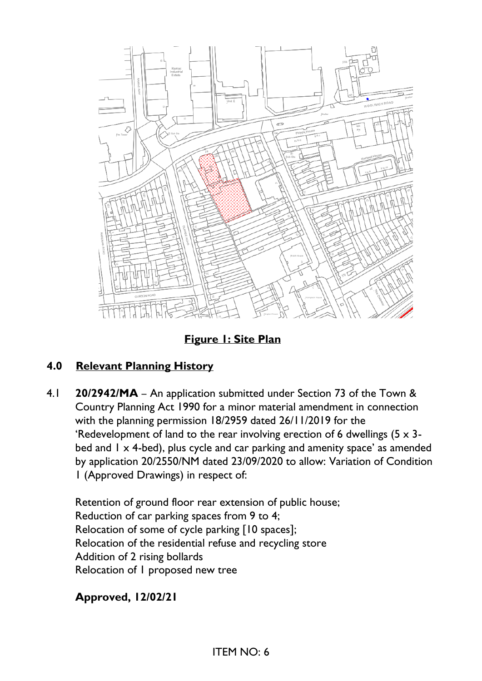

**Figure 1: Site Plan**

# **4.0 Relevant Planning History**

4.1 **20/2942/MA** – An application submitted under Section 73 of the Town & Country Planning Act 1990 for a minor material amendment in connection with the planning permission 18/2959 dated 26/11/2019 for the 'Redevelopment of land to the rear involving erection of 6 dwellings (5 x 3 bed and  $1 \times 4$ -bed), plus cycle and car parking and amenity space' as amended by application 20/2550/NM dated 23/09/2020 to allow: Variation of Condition 1 (Approved Drawings) in respect of:

Retention of ground floor rear extension of public house; Reduction of car parking spaces from 9 to 4; Relocation of some of cycle parking [10 spaces]; Relocation of the residential refuse and recycling store Addition of 2 rising bollards Relocation of 1 proposed new tree

**Approved, 12/02/21**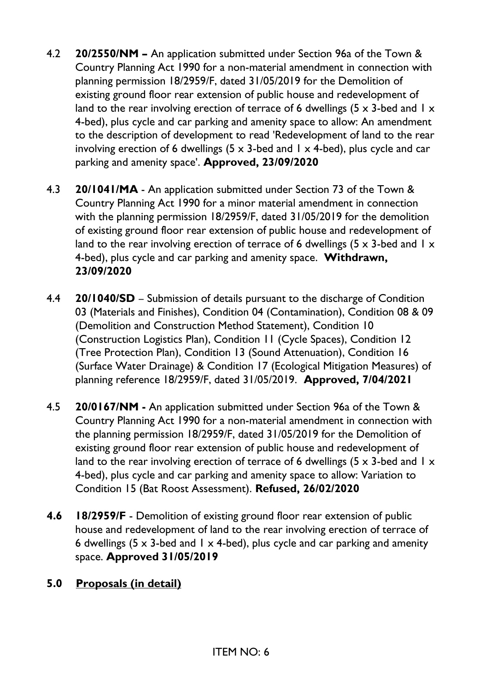- 4.2 **20/2550/NM –** An application submitted under Section 96a of the Town & Country Planning Act 1990 for a non-material amendment in connection with planning permission 18/2959/F, dated 31/05/2019 for the Demolition of existing ground floor rear extension of public house and redevelopment of land to the rear involving erection of terrace of 6 dwellings (5  $\times$  3-bed and 1  $\times$ 4-bed), plus cycle and car parking and amenity space to allow: An amendment to the description of development to read 'Redevelopment of land to the rear involving erection of 6 dwellings (5  $\times$  3-bed and 1  $\times$  4-bed), plus cycle and car parking and amenity space'. **Approved, 23/09/2020**
- 4.3 **20/1041/MA** An application submitted under Section 73 of the Town & Country Planning Act 1990 for a minor material amendment in connection with the planning permission 18/2959/F, dated 31/05/2019 for the demolition of existing ground floor rear extension of public house and redevelopment of land to the rear involving erection of terrace of 6 dwellings (5  $\times$  3-bed and 1  $\times$ 4-bed), plus cycle and car parking and amenity space. **Withdrawn, 23/09/2020**
- 4.4 **20/1040/SD** Submission of details pursuant to the discharge of Condition 03 (Materials and Finishes), Condition 04 (Contamination), Condition 08 & 09 (Demolition and Construction Method Statement), Condition 10 (Construction Logistics Plan), Condition 11 (Cycle Spaces), Condition 12 (Tree Protection Plan), Condition 13 (Sound Attenuation), Condition 16 (Surface Water Drainage) & Condition 17 (Ecological Mitigation Measures) of planning reference 18/2959/F, dated 31/05/2019. **Approved, 7/04/2021**
- 4.5 **20/0167/NM -** An application submitted under Section 96a of the Town & Country Planning Act 1990 for a non-material amendment in connection with the planning permission 18/2959/F, dated 31/05/2019 for the Demolition of existing ground floor rear extension of public house and redevelopment of land to the rear involving erection of terrace of 6 dwellings (5  $\times$  3-bed and 1  $\times$ 4-bed), plus cycle and car parking and amenity space to allow: Variation to Condition 15 (Bat Roost Assessment). **Refused, 26/02/2020**
- **4.6 18/2959/F** Demolition of existing ground floor rear extension of public house and redevelopment of land to the rear involving erection of terrace of 6 dwellings (5  $\times$  3-bed and 1  $\times$  4-bed), plus cycle and car parking and amenity space. **Approved 31/05/2019**

## **5.0 Proposals (in detail)**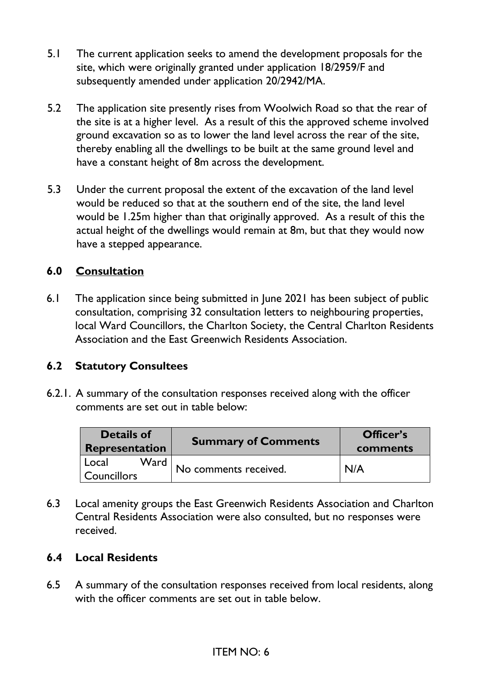- 5.1 The current application seeks to amend the development proposals for the site, which were originally granted under application 18/2959/F and subsequently amended under application 20/2942/MA.
- 5.2 The application site presently rises from Woolwich Road so that the rear of the site is at a higher level. As a result of this the approved scheme involved ground excavation so as to lower the land level across the rear of the site, thereby enabling all the dwellings to be built at the same ground level and have a constant height of 8m across the development.
- 5.3 Under the current proposal the extent of the excavation of the land level would be reduced so that at the southern end of the site, the land level would be 1.25m higher than that originally approved. As a result of this the actual height of the dwellings would remain at 8m, but that they would now have a stepped appearance.

## **6.0 Consultation**

6.1 The application since being submitted in June 2021 has been subject of public consultation, comprising 32 consultation letters to neighbouring properties, local Ward Councillors, the Charlton Society, the Central Charlton Residents Association and the East Greenwich Residents Association.

## **6.2 Statutory Consultees**

6.2.1. A summary of the consultation responses received along with the officer comments are set out in table below:

| <b>Details of</b><br>Representation   | <b>Summary of Comments</b> | Officer's<br>comments |
|---------------------------------------|----------------------------|-----------------------|
| Ward<br>  Local<br><b>Councillors</b> | No comments received.      | N/A                   |

6.3 Local amenity groups the East Greenwich Residents Association and Charlton Central Residents Association were also consulted, but no responses were received.

#### **6.4 Local Residents**

6.5 A summary of the consultation responses received from local residents, along with the officer comments are set out in table below.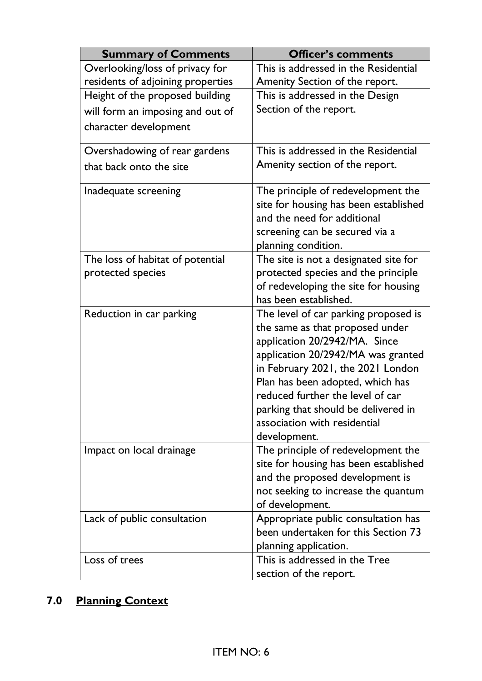| <b>Summary of Comments</b>                            | <b>Officer's comments</b>                                                                                                                                                                                                                                                                                                                          |
|-------------------------------------------------------|----------------------------------------------------------------------------------------------------------------------------------------------------------------------------------------------------------------------------------------------------------------------------------------------------------------------------------------------------|
| Overlooking/loss of privacy for                       | This is addressed in the Residential                                                                                                                                                                                                                                                                                                               |
| residents of adjoining properties                     | Amenity Section of the report.                                                                                                                                                                                                                                                                                                                     |
| Height of the proposed building                       | This is addressed in the Design                                                                                                                                                                                                                                                                                                                    |
| will form an imposing and out of                      | Section of the report.                                                                                                                                                                                                                                                                                                                             |
| character development                                 |                                                                                                                                                                                                                                                                                                                                                    |
| Overshadowing of rear gardens                         | This is addressed in the Residential                                                                                                                                                                                                                                                                                                               |
| that back onto the site                               | Amenity section of the report.                                                                                                                                                                                                                                                                                                                     |
| Inadequate screening                                  | The principle of redevelopment the<br>site for housing has been established<br>and the need for additional<br>screening can be secured via a<br>planning condition.                                                                                                                                                                                |
| The loss of habitat of potential<br>protected species | The site is not a designated site for<br>protected species and the principle<br>of redeveloping the site for housing<br>has been established.                                                                                                                                                                                                      |
| Reduction in car parking                              | The level of car parking proposed is<br>the same as that proposed under<br>application 20/2942/MA. Since<br>application 20/2942/MA was granted<br>in February 2021, the 2021 London<br>Plan has been adopted, which has<br>reduced further the level of car<br>parking that should be delivered in<br>association with residential<br>development. |
| Impact on local drainage                              | The principle of redevelopment the<br>site for housing has been established<br>and the proposed development is<br>not seeking to increase the quantum<br>of development.                                                                                                                                                                           |
| Lack of public consultation                           | Appropriate public consultation has<br>been undertaken for this Section 73<br>planning application.                                                                                                                                                                                                                                                |
| Loss of trees                                         | This is addressed in the Tree<br>section of the report.                                                                                                                                                                                                                                                                                            |

# **7.0 Planning Context**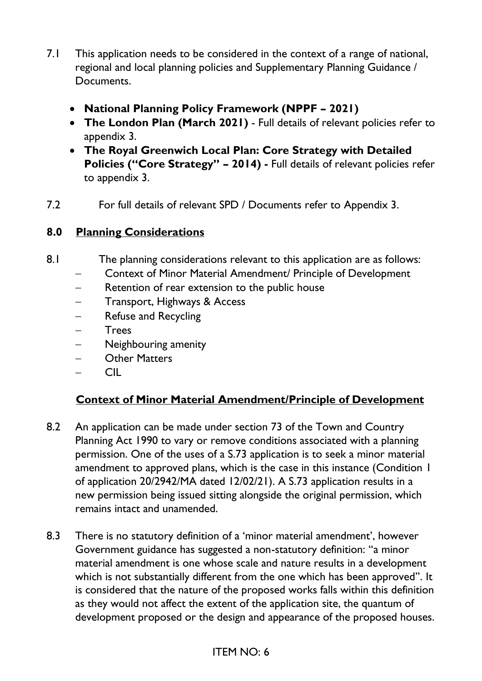- 7.1 This application needs to be considered in the context of a range of national, regional and local planning policies and Supplementary Planning Guidance / Documents.
	- **National Planning Policy Framework (NPPF – 2021)**
	- **The London Plan (March 2021)** Full details of relevant policies refer to appendix 3.
	- **The Royal Greenwich Local Plan: Core Strategy with Detailed Policies ("Core Strategy" – 2014) -** Full details of relevant policies refer to appendix 3.
- 7.2 For full details of relevant SPD / Documents refer to Appendix 3.

## **8.0 Planning Considerations**

- 8.1 The planning considerations relevant to this application are as follows:
	- − Context of Minor Material Amendment/ Principle of Development
	- − Retention of rear extension to the public house
	- Transport, Highways & Access
	- Refuse and Recycling
	- − Trees
	- − Neighbouring amenity
	- − Other Matters
	- − CIL

## **Context of Minor Material Amendment/Principle of Development**

- 8.2 An application can be made under section 73 of the Town and Country Planning Act 1990 to vary or remove conditions associated with a planning permission. One of the uses of a S.73 application is to seek a minor material amendment to approved plans, which is the case in this instance (Condition 1 of application 20/2942/MA dated 12/02/21). A S.73 application results in a new permission being issued sitting alongside the original permission, which remains intact and unamended.
- 8.3 There is no statutory definition of a 'minor material amendment', however Government guidance has suggested a non-statutory definition: ''a minor material amendment is one whose scale and nature results in a development which is not substantially different from the one which has been approved''. It is considered that the nature of the proposed works falls within this definition as they would not affect the extent of the application site, the quantum of development proposed or the design and appearance of the proposed houses.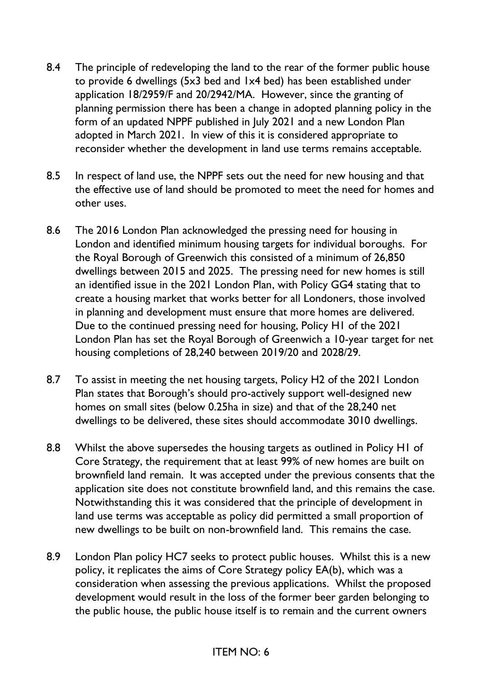- 8.4 The principle of redeveloping the land to the rear of the former public house to provide 6 dwellings (5x3 bed and 1x4 bed) has been established under application 18/2959/F and 20/2942/MA. However, since the granting of planning permission there has been a change in adopted planning policy in the form of an updated NPPF published in July 2021 and a new London Plan adopted in March 2021. In view of this it is considered appropriate to reconsider whether the development in land use terms remains acceptable.
- 8.5 In respect of land use, the NPPF sets out the need for new housing and that the effective use of land should be promoted to meet the need for homes and other uses.
- 8.6 The 2016 London Plan acknowledged the pressing need for housing in London and identified minimum housing targets for individual boroughs. For the Royal Borough of Greenwich this consisted of a minimum of 26,850 dwellings between 2015 and 2025. The pressing need for new homes is still an identified issue in the 2021 London Plan, with Policy GG4 stating that to create a housing market that works better for all Londoners, those involved in planning and development must ensure that more homes are delivered. Due to the continued pressing need for housing, Policy H1 of the 2021 London Plan has set the Royal Borough of Greenwich a 10-year target for net housing completions of 28,240 between 2019/20 and 2028/29.
- 8.7 To assist in meeting the net housing targets, Policy H2 of the 2021 London Plan states that Borough's should pro-actively support well-designed new homes on small sites (below 0.25ha in size) and that of the 28,240 net dwellings to be delivered, these sites should accommodate 3010 dwellings.
- 8.8 Whilst the above supersedes the housing targets as outlined in Policy H1 of Core Strategy, the requirement that at least 99% of new homes are built on brownfield land remain. It was accepted under the previous consents that the application site does not constitute brownfield land, and this remains the case. Notwithstanding this it was considered that the principle of development in land use terms was acceptable as policy did permitted a small proportion of new dwellings to be built on non-brownfield land. This remains the case.
- 8.9 London Plan policy HC7 seeks to protect public houses. Whilst this is a new policy, it replicates the aims of Core Strategy policy EA(b), which was a consideration when assessing the previous applications. Whilst the proposed development would result in the loss of the former beer garden belonging to the public house, the public house itself is to remain and the current owners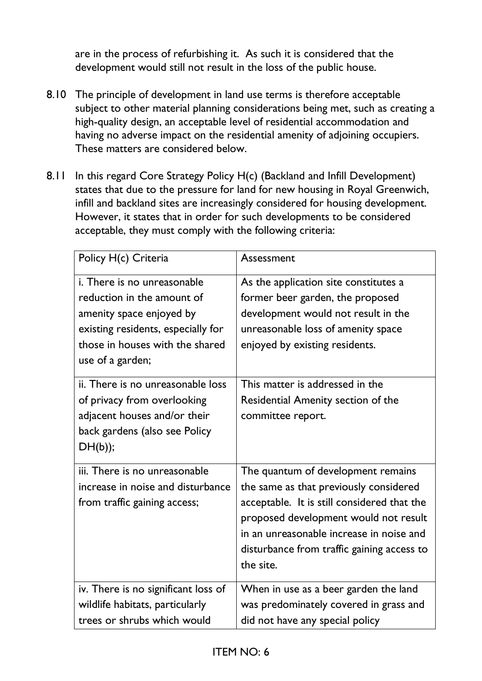are in the process of refurbishing it. As such it is considered that the development would still not result in the loss of the public house.

- 8.10 The principle of development in land use terms is therefore acceptable subject to other material planning considerations being met, such as creating a high-quality design, an acceptable level of residential accommodation and having no adverse impact on the residential amenity of adjoining occupiers. These matters are considered below.
- 8.11 In this regard Core Strategy Policy H(c) (Backland and Infill Development) states that due to the pressure for land for new housing in Royal Greenwich, infill and backland sites are increasingly considered for housing development. However, it states that in order for such developments to be considered acceptable, they must comply with the following criteria:

| Policy H(c) Criteria                                                                                                                                                                      | Assessment                                                                                                                                                                                                                                                                  |
|-------------------------------------------------------------------------------------------------------------------------------------------------------------------------------------------|-----------------------------------------------------------------------------------------------------------------------------------------------------------------------------------------------------------------------------------------------------------------------------|
| <i>i.</i> There is no unreasonable<br>reduction in the amount of<br>amenity space enjoyed by<br>existing residents, especially for<br>those in houses with the shared<br>use of a garden; | As the application site constitutes a<br>former beer garden, the proposed<br>development would not result in the<br>unreasonable loss of amenity space<br>enjoyed by existing residents.                                                                                    |
| ii. There is no unreasonable loss<br>of privacy from overlooking<br>adjacent houses and/or their<br>back gardens (also see Policy<br>$DH(b))$ ;                                           | This matter is addressed in the<br>Residential Amenity section of the<br>committee report.                                                                                                                                                                                  |
| iii. There is no unreasonable<br>increase in noise and disturbance<br>from traffic gaining access;                                                                                        | The quantum of development remains<br>the same as that previously considered<br>acceptable. It is still considered that the<br>proposed development would not result<br>in an unreasonable increase in noise and<br>disturbance from traffic gaining access to<br>the site. |
| iv. There is no significant loss of<br>wildlife habitats, particularly<br>trees or shrubs which would                                                                                     | When in use as a beer garden the land<br>was predominately covered in grass and<br>did not have any special policy                                                                                                                                                          |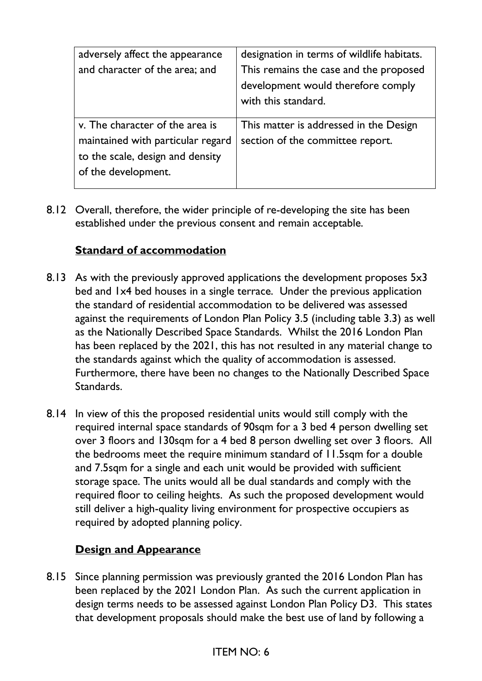| adversely affect the appearance   | designation in terms of wildlife habitats. |
|-----------------------------------|--------------------------------------------|
| and character of the area; and    | This remains the case and the proposed     |
|                                   | development would therefore comply         |
|                                   | with this standard.                        |
|                                   |                                            |
| v. The character of the area is   | This matter is addressed in the Design     |
| maintained with particular regard | section of the committee report.           |
| to the scale, design and density  |                                            |
| of the development.               |                                            |
|                                   |                                            |

8.12 Overall, therefore, the wider principle of re-developing the site has been established under the previous consent and remain acceptable.

## **Standard of accommodation**

- 8.13 As with the previously approved applications the development proposes 5x3 bed and 1x4 bed houses in a single terrace. Under the previous application the standard of residential accommodation to be delivered was assessed against the requirements of London Plan Policy 3.5 (including table 3.3) as well as the Nationally Described Space Standards. Whilst the 2016 London Plan has been replaced by the 2021, this has not resulted in any material change to the standards against which the quality of accommodation is assessed. Furthermore, there have been no changes to the Nationally Described Space Standards.
- 8.14 In view of this the proposed residential units would still comply with the required internal space standards of 90sqm for a 3 bed 4 person dwelling set over 3 floors and 130sqm for a 4 bed 8 person dwelling set over 3 floors. All the bedrooms meet the require minimum standard of 11.5sqm for a double and 7.5sqm for a single and each unit would be provided with sufficient storage space. The units would all be dual standards and comply with the required floor to ceiling heights. As such the proposed development would still deliver a high-quality living environment for prospective occupiers as required by adopted planning policy.

## **Design and Appearance**

8.15 Since planning permission was previously granted the 2016 London Plan has been replaced by the 2021 London Plan. As such the current application in design terms needs to be assessed against London Plan Policy D3. This states that development proposals should make the best use of land by following a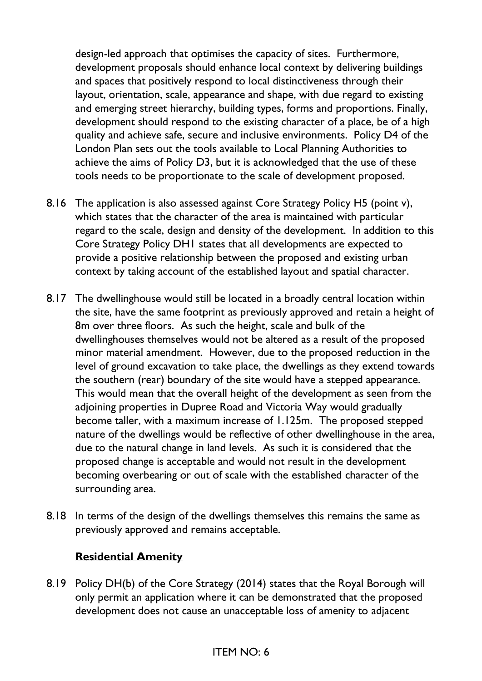design-led approach that optimises the capacity of sites. Furthermore, development proposals should enhance local context by delivering buildings and spaces that positively respond to local distinctiveness through their layout, orientation, scale, appearance and shape, with due regard to existing and emerging street hierarchy, building types, forms and proportions. Finally, development should respond to the existing character of a place, be of a high quality and achieve safe, secure and inclusive environments. Policy D4 of the London Plan sets out the tools available to Local Planning Authorities to achieve the aims of Policy D3, but it is acknowledged that the use of these tools needs to be proportionate to the scale of development proposed.

- 8.16 The application is also assessed against Core Strategy Policy H5 (point v), which states that the character of the area is maintained with particular regard to the scale, design and density of the development. In addition to this Core Strategy Policy DH1 states that all developments are expected to provide a positive relationship between the proposed and existing urban context by taking account of the established layout and spatial character.
- 8.17 The dwellinghouse would still be located in a broadly central location within the site, have the same footprint as previously approved and retain a height of 8m over three floors. As such the height, scale and bulk of the dwellinghouses themselves would not be altered as a result of the proposed minor material amendment. However, due to the proposed reduction in the level of ground excavation to take place, the dwellings as they extend towards the southern (rear) boundary of the site would have a stepped appearance. This would mean that the overall height of the development as seen from the adjoining properties in Dupree Road and Victoria Way would gradually become taller, with a maximum increase of 1.125m. The proposed stepped nature of the dwellings would be reflective of other dwellinghouse in the area, due to the natural change in land levels. As such it is considered that the proposed change is acceptable and would not result in the development becoming overbearing or out of scale with the established character of the surrounding area.
- 8.18 In terms of the design of the dwellings themselves this remains the same as previously approved and remains acceptable.

## **Residential Amenity**

8.19 Policy DH(b) of the Core Strategy (2014) states that the Royal Borough will only permit an application where it can be demonstrated that the proposed development does not cause an unacceptable loss of amenity to adjacent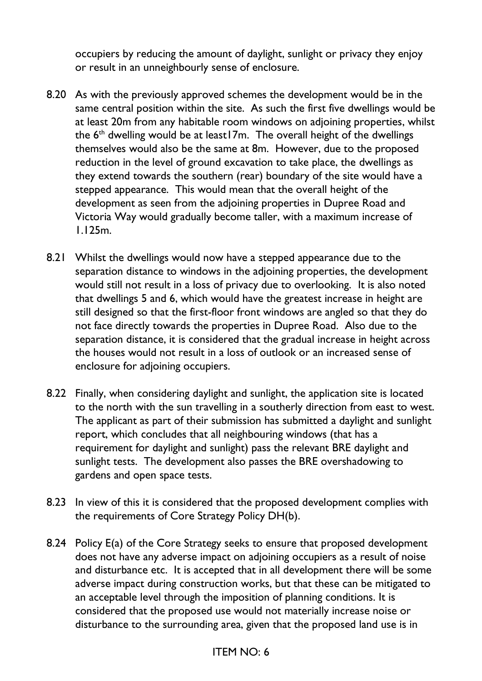occupiers by reducing the amount of daylight, sunlight or privacy they enjoy or result in an unneighbourly sense of enclosure.

- 8.20 As with the previously approved schemes the development would be in the same central position within the site. As such the first five dwellings would be at least 20m from any habitable room windows on adjoining properties, whilst the  $6<sup>th</sup>$  dwelling would be at least17m. The overall height of the dwellings themselves would also be the same at 8m. However, due to the proposed reduction in the level of ground excavation to take place, the dwellings as they extend towards the southern (rear) boundary of the site would have a stepped appearance. This would mean that the overall height of the development as seen from the adjoining properties in Dupree Road and Victoria Way would gradually become taller, with a maximum increase of 1.125m.
- 8.21 Whilst the dwellings would now have a stepped appearance due to the separation distance to windows in the adjoining properties, the development would still not result in a loss of privacy due to overlooking. It is also noted that dwellings 5 and 6, which would have the greatest increase in height are still designed so that the first-floor front windows are angled so that they do not face directly towards the properties in Dupree Road. Also due to the separation distance, it is considered that the gradual increase in height across the houses would not result in a loss of outlook or an increased sense of enclosure for adjoining occupiers.
- 8.22 Finally, when considering daylight and sunlight, the application site is located to the north with the sun travelling in a southerly direction from east to west. The applicant as part of their submission has submitted a daylight and sunlight report, which concludes that all neighbouring windows (that has a requirement for daylight and sunlight) pass the relevant BRE daylight and sunlight tests. The development also passes the BRE overshadowing to gardens and open space tests.
- 8.23 In view of this it is considered that the proposed development complies with the requirements of Core Strategy Policy DH(b).
- 8.24 Policy E(a) of the Core Strategy seeks to ensure that proposed development does not have any adverse impact on adjoining occupiers as a result of noise and disturbance etc. It is accepted that in all development there will be some adverse impact during construction works, but that these can be mitigated to an acceptable level through the imposition of planning conditions. It is considered that the proposed use would not materially increase noise or disturbance to the surrounding area, given that the proposed land use is in

## ITEM NO: 6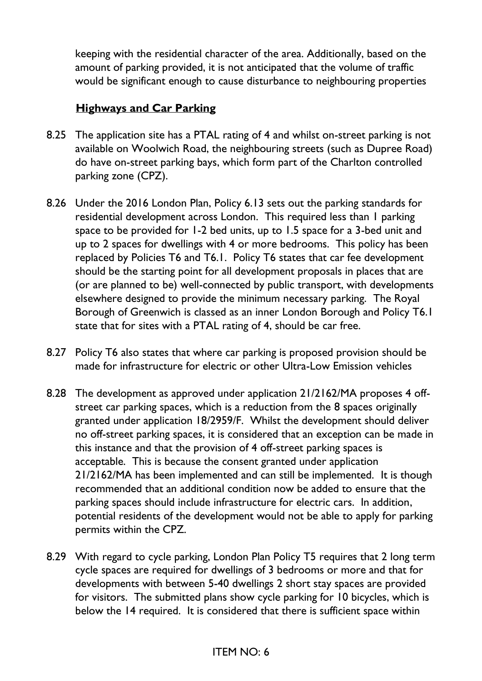keeping with the residential character of the area. Additionally, based on the amount of parking provided, it is not anticipated that the volume of traffic would be significant enough to cause disturbance to neighbouring properties

## **Highways and Car Parking**

- 8.25 The application site has a PTAL rating of 4 and whilst on-street parking is not available on Woolwich Road, the neighbouring streets (such as Dupree Road) do have on-street parking bays, which form part of the Charlton controlled parking zone (CPZ).
- 8.26 Under the 2016 London Plan, Policy 6.13 sets out the parking standards for residential development across London. This required less than 1 parking space to be provided for 1-2 bed units, up to 1.5 space for a 3-bed unit and up to 2 spaces for dwellings with 4 or more bedrooms. This policy has been replaced by Policies T6 and T6.1. Policy T6 states that car fee development should be the starting point for all development proposals in places that are (or are planned to be) well-connected by public transport, with developments elsewhere designed to provide the minimum necessary parking. The Royal Borough of Greenwich is classed as an inner London Borough and Policy T6.1 state that for sites with a PTAL rating of 4, should be car free.
- 8.27 Policy T6 also states that where car parking is proposed provision should be made for infrastructure for electric or other Ultra-Low Emission vehicles
- 8.28 The development as approved under application 21/2162/MA proposes 4 offstreet car parking spaces, which is a reduction from the 8 spaces originally granted under application 18/2959/F. Whilst the development should deliver no off-street parking spaces, it is considered that an exception can be made in this instance and that the provision of 4 off-street parking spaces is acceptable. This is because the consent granted under application 21/2162/MA has been implemented and can still be implemented. It is though recommended that an additional condition now be added to ensure that the parking spaces should include infrastructure for electric cars. In addition, potential residents of the development would not be able to apply for parking permits within the CPZ.
- 8.29 With regard to cycle parking, London Plan Policy T5 requires that 2 long term cycle spaces are required for dwellings of 3 bedrooms or more and that for developments with between 5-40 dwellings 2 short stay spaces are provided for visitors. The submitted plans show cycle parking for 10 bicycles, which is below the 14 required. It is considered that there is sufficient space within

## ITEM NO: 6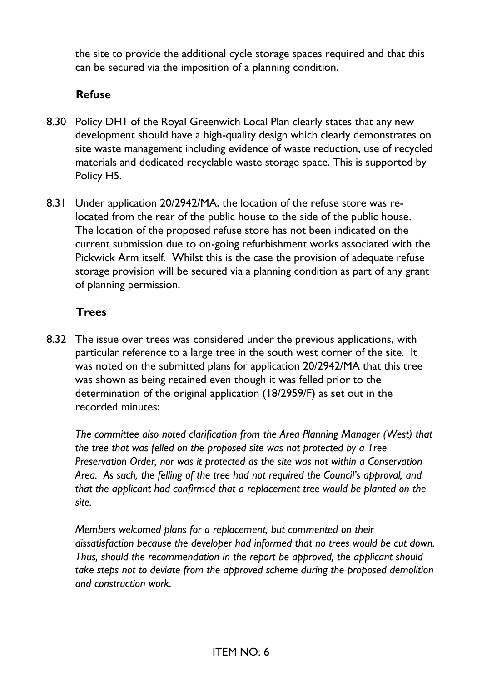the site to provide the additional cycle storage spaces required and that this can be secured via the imposition of a planning condition.

## **Refuse**

- 8.30 Policy DH1 of the Royal Greenwich Local Plan clearly states that any new development should have a high-quality design which clearly demonstrates on site waste management including evidence of waste reduction, use of recycled materials and dedicated recyclable waste storage space. This is supported by Policy H5.
- 8.31 Under application 20/2942/MA, the location of the refuse store was relocated from the rear of the public house to the side of the public house. The location of the proposed refuse store has not been indicated on the current submission due to on-going refurbishment works associated with the Pickwick Arm itself. Whilst this is the case the provision of adequate refuse storage provision will be secured via a planning condition as part of any grant of planning permission.

## **Trees**

8.32 The issue over trees was considered under the previous applications, with particular reference to a large tree in the south west corner of the site. It was noted on the submitted plans for application 20/2942/MA that this tree was shown as being retained even though it was felled prior to the determination of the original application (18/2959/F) as set out in the recorded minutes:

*The committee also noted clarification from the Area Planning Manager (West) that the tree that was felled on the proposed site was not protected by a Tree Preservation Order, nor was it protected as the site was not within a Conservation Area. As such, the felling of the tree had not required the Council's approval, and that the applicant had confirmed that a replacement tree would be planted on the site.*

*Members welcomed plans for a replacement, but commented on their dissatisfaction because the developer had informed that no trees would be cut down. Thus, should the recommendation in the report be approved, the applicant should take steps not to deviate from the approved scheme during the proposed demolition and construction work.*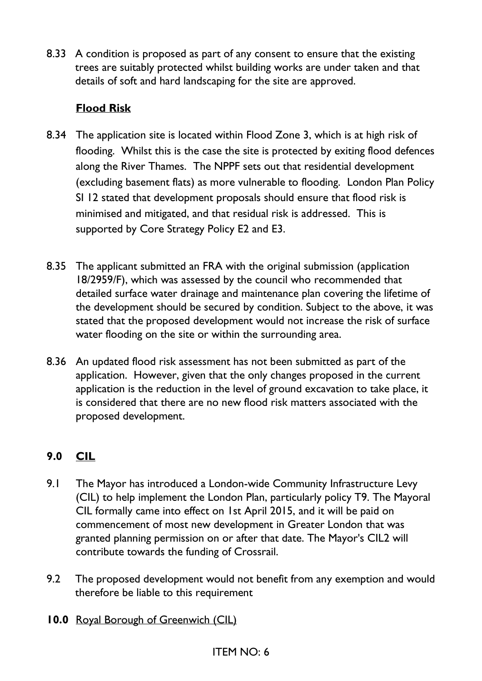8.33 A condition is proposed as part of any consent to ensure that the existing trees are suitably protected whilst building works are under taken and that details of soft and hard landscaping for the site are approved.

# **Flood Risk**

- 8.34 The application site is located within Flood Zone 3, which is at high risk of flooding. Whilst this is the case the site is protected by exiting flood defences along the River Thames. The NPPF sets out that residential development (excluding basement flats) as more vulnerable to flooding. London Plan Policy SI 12 stated that development proposals should ensure that flood risk is minimised and mitigated, and that residual risk is addressed. This is supported by Core Strategy Policy E2 and E3.
- 8.35 The applicant submitted an FRA with the original submission (application 18/2959/F), which was assessed by the council who recommended that detailed surface water drainage and maintenance plan covering the lifetime of the development should be secured by condition. Subject to the above, it was stated that the proposed development would not increase the risk of surface water flooding on the site or within the surrounding area.
- 8.36 An updated flood risk assessment has not been submitted as part of the application. However, given that the only changes proposed in the current application is the reduction in the level of ground excavation to take place, it is considered that there are no new flood risk matters associated with the proposed development.

# **9.0 CIL**

- 9.1 The Mayor has introduced a London-wide Community Infrastructure Levy (CIL) to help implement the London Plan, particularly policy T9. The Mayoral CIL formally came into effect on 1st April 2015, and it will be paid on commencement of most new development in Greater London that was granted planning permission on or after that date. The Mayor's CIL2 will contribute towards the funding of Crossrail.
- 9.2 The proposed development would not benefit from any exemption and would therefore be liable to this requirement
- **10.0** Royal Borough of Greenwich (CIL)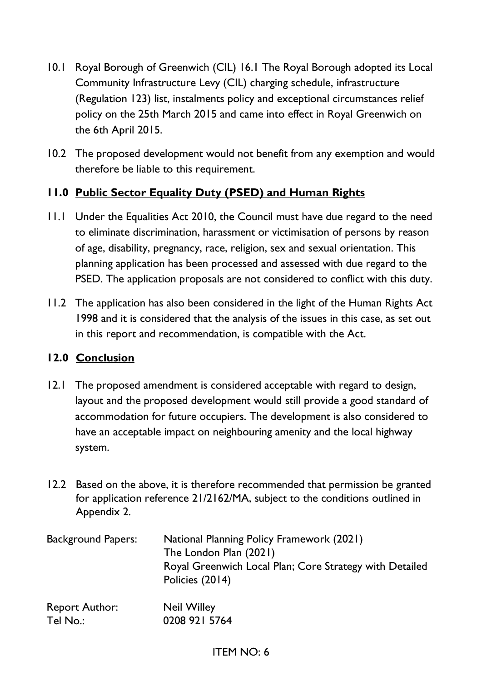- 10.1 Royal Borough of Greenwich (CIL) 16.1 The Royal Borough adopted its Local Community Infrastructure Levy (CIL) charging schedule, infrastructure (Regulation 123) list, instalments policy and exceptional circumstances relief policy on the 25th March 2015 and came into effect in Royal Greenwich on the 6th April 2015.
- 10.2 The proposed development would not benefit from any exemption and would therefore be liable to this requirement.

## **11.0 Public Sector Equality Duty (PSED) and Human Rights**

- 11.1 Under the Equalities Act 2010, the Council must have due regard to the need to eliminate discrimination, harassment or victimisation of persons by reason of age, disability, pregnancy, race, religion, sex and sexual orientation. This planning application has been processed and assessed with due regard to the PSED. The application proposals are not considered to conflict with this duty.
- 11.2 The application has also been considered in the light of the Human Rights Act 1998 and it is considered that the analysis of the issues in this case, as set out in this report and recommendation, is compatible with the Act.

## **12.0 Conclusion**

- 12.1 The proposed amendment is considered acceptable with regard to design, layout and the proposed development would still provide a good standard of accommodation for future occupiers. The development is also considered to have an acceptable impact on neighbouring amenity and the local highway system.
- 12.2 Based on the above, it is therefore recommended that permission be granted for application reference 21/2162/MA, subject to the conditions outlined in Appendix 2.

| <b>Background Papers:</b> | <b>National Planning Policy Framework (2021)</b><br>The London Plan (2021)<br>Royal Greenwich Local Plan; Core Strategy with Detailed<br>Policies (2014) |
|---------------------------|----------------------------------------------------------------------------------------------------------------------------------------------------------|
| <b>Report Author:</b>     | <b>Neil Willey</b>                                                                                                                                       |
| Tel No.:                  | 0208 921 5764                                                                                                                                            |